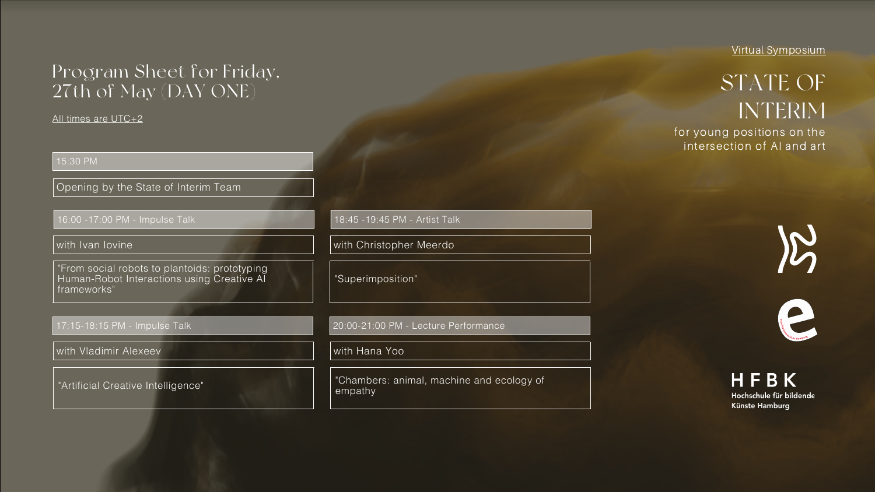## Program Sheet for Friday, 27th of May (DAY ONE)

#### All times are UTC+2

15:30 PM

Opening by the State of Interim Team

"From social robots to plantoids: prototyping Human-Robot Interactions using Creative AI frameworks"

## 17:15-18:15 PM - Impulse Talk

with Ivan Iovine

"Artificial Creative Intelligence"

with Vladimir Alexeev

16:00 -17:00 PM - Impulse Talk

"Superimposition"

20:00-21:00 PM - Lecture Performance

with Christopher Meerdo

"Chambers: animal, machine and ecology of empathy

with Hana Yoo

18:45 -19:45 PM - Artist Talk

Virtual Symposium

# STATE OF INTERIM

for young positions on the intersection of AI and art





## HFBK Hochschule für bildende Künste Hamburg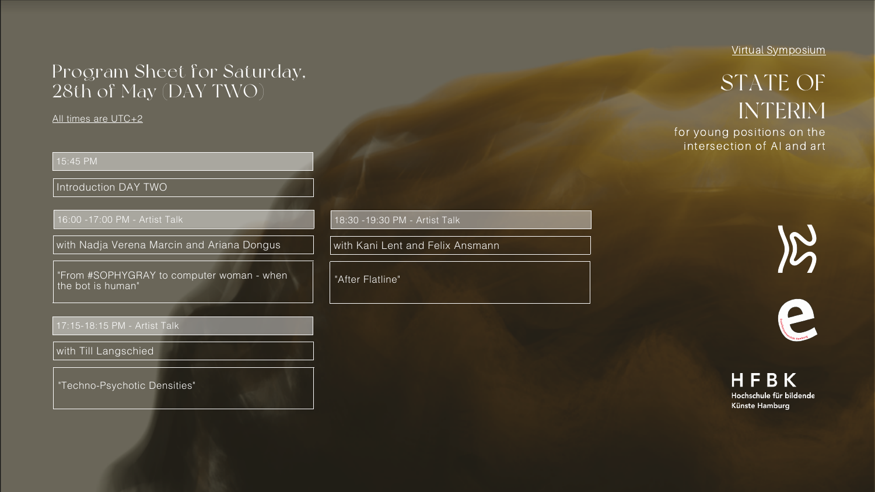Virtual Symposium

# STATE OF INTERIM

for young positions on the intersection of AI and art





## HFBK Hochschule für bildende Künste Hamburg

## Program Sheet for Saturday, 28th of May (DAY TWO)

All times are UTC+2

15:45 PM

Introduction DAY TWO

"From #SOPHYGRAY to computer woman - when the bot is human"

### 17:15-18:15 PM - Artist Talk

with Nadja Verena Marcin and Ariana Dongus

"Techno-Psychotic Densities"

with Till Langschied

16:00 -17:00 PM - Artist Talk

"After Flatline"

with Kani Lent and Felix Ansmann

18:30 -19:30 PM - Artist Talk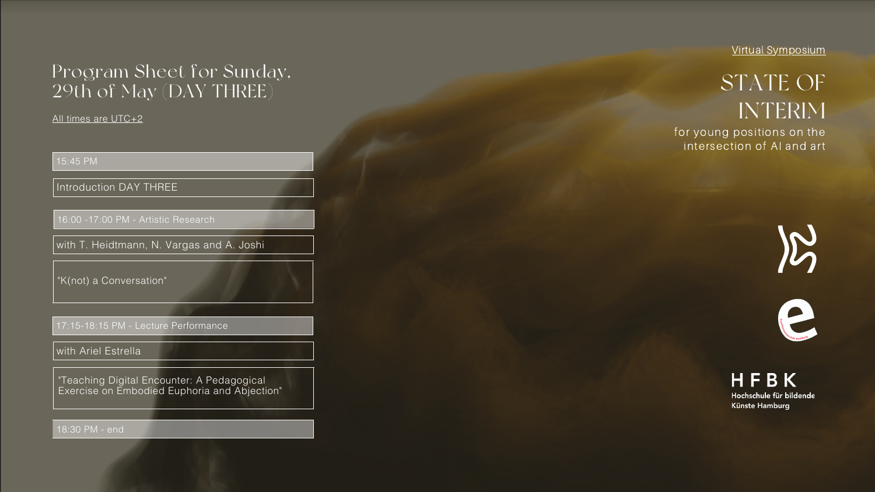## Program Sheet for Sunday, 29th of May (DAY THREE)

All times are UTC+2

15:45 PM

Introduction DAY THREE

"K(not) a Conversation"

17:15-18:15 PM - Lecture Performance

with T. Heidtmann, N. Vargas and A. Joshi

"Teaching Digital Encounter: A Pedagogical Exercise on Embodied Euphoria and Abjection"

with Ariel Estrella

16:00 -17:00 PM - Artistic Research

18:30 PM - end

Virtual Symposium

## STATE OF INTERIM

for young positions on the intersection of AI and art





## HFBK Hochschule für bildende Künste Hamburg